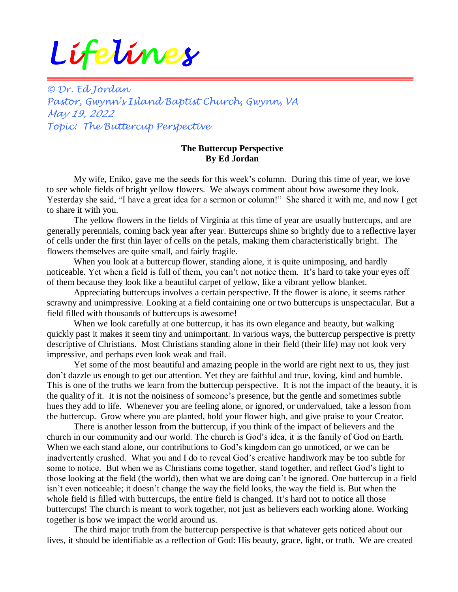## *Lifelines*

*© Dr. Ed Jordan Pastor, Gwynn's Island Baptist Church, Gwynn, VA May 19, 2022 Topic: The Buttercup Perspective*

## **The Buttercup Perspective By Ed Jordan**

My wife, Eniko, gave me the seeds for this week's column. During this time of year, we love to see whole fields of bright yellow flowers. We always comment about how awesome they look. Yesterday she said, "I have a great idea for a sermon or column!" She shared it with me, and now I get to share it with you.

The yellow flowers in the fields of Virginia at this time of year are usually buttercups, and are generally perennials, coming back year after year. Buttercups shine so brightly due to a reflective layer of cells under the first thin layer of cells on the petals, making them characteristically bright. The flowers themselves are quite small, and fairly fragile.

When you look at a buttercup flower, standing alone, it is quite unimposing, and hardly noticeable. Yet when a field is full of them, you can't not notice them. It's hard to take your eyes off of them because they look like a beautiful carpet of yellow, like a vibrant yellow blanket.

Appreciating buttercups involves a certain perspective. If the flower is alone, it seems rather scrawny and unimpressive. Looking at a field containing one or two buttercups is unspectacular. But a field filled with thousands of buttercups is awesome!

When we look carefully at one buttercup, it has its own elegance and beauty, but walking quickly past it makes it seem tiny and unimportant. In various ways, the buttercup perspective is pretty descriptive of Christians. Most Christians standing alone in their field (their life) may not look very impressive, and perhaps even look weak and frail.

Yet some of the most beautiful and amazing people in the world are right next to us, they just don't dazzle us enough to get our attention. Yet they are faithful and true, loving, kind and humble. This is one of the truths we learn from the buttercup perspective. It is not the impact of the beauty, it is the quality of it. It is not the noisiness of someone's presence, but the gentle and sometimes subtle hues they add to life. Whenever you are feeling alone, or ignored, or undervalued, take a lesson from the buttercup. Grow where you are planted, hold your flower high, and give praise to your Creator.

There is another lesson from the buttercup, if you think of the impact of believers and the church in our community and our world. The church is God's idea, it is the family of God on Earth. When we each stand alone, our contributions to God's kingdom can go unnoticed, or we can be inadvertently crushed. What you and I do to reveal God's creative handiwork may be too subtle for some to notice. But when we as Christians come together, stand together, and reflect God's light to those looking at the field (the world), then what we are doing can't be ignored. One buttercup in a field isn't even noticeable; it doesn't change the way the field looks, the way the field is. But when the whole field is filled with buttercups, the entire field is changed. It's hard not to notice all those buttercups! The church is meant to work together, not just as believers each working alone. Working together is how we impact the world around us.

The third major truth from the buttercup perspective is that whatever gets noticed about our lives, it should be identifiable as a reflection of God: His beauty, grace, light, or truth. We are created